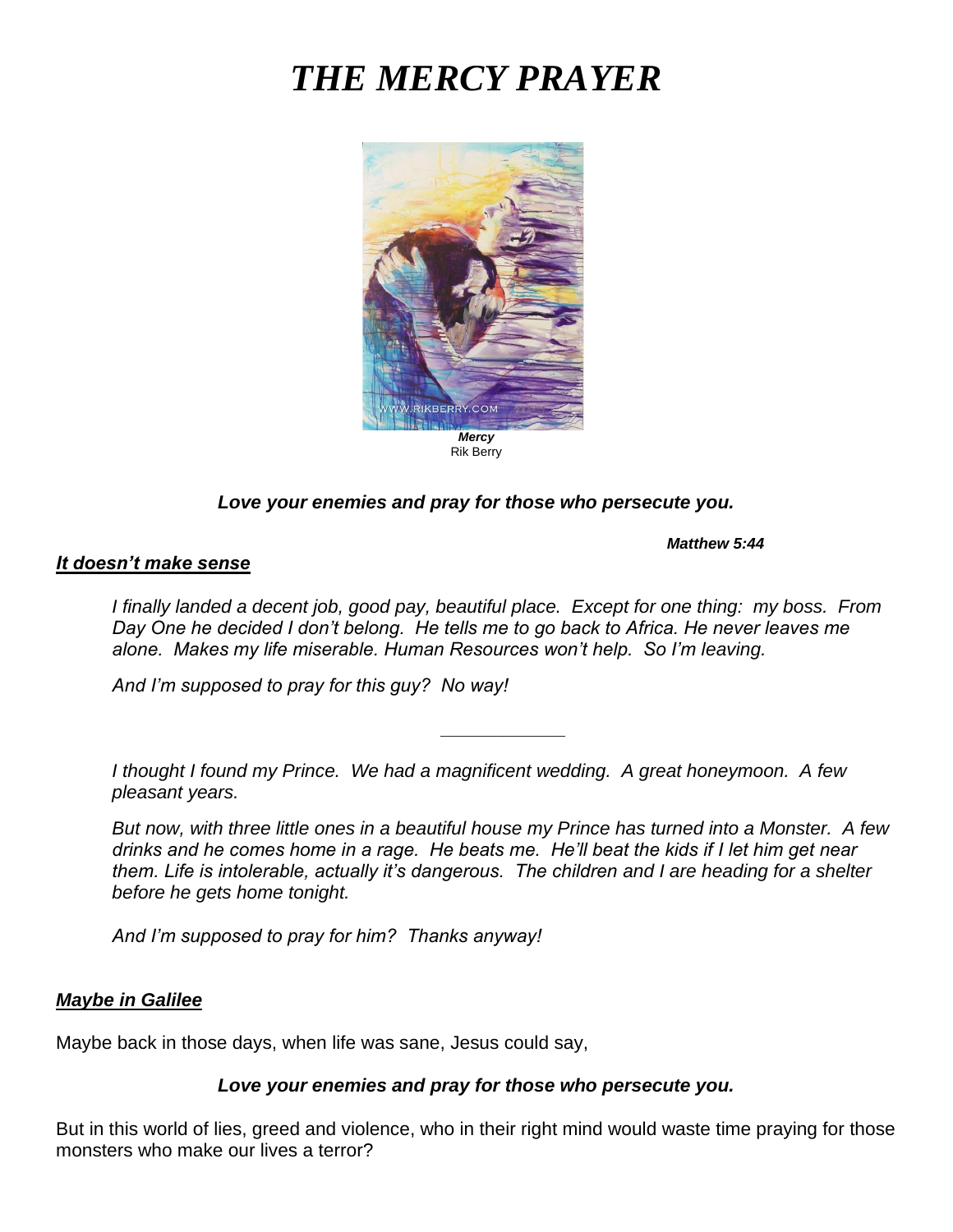# *THE MERCY PRAYER*



### *Love your enemies and pray for those who persecute you.*

*Matthew 5:44*

#### *It doesn't make sense*

*I finally landed a decent job, good pay, beautiful place. Except for one thing: my boss. From Day One he decided I don't belong. He tells me to go back to Africa. He never leaves me alone. Makes my life miserable. Human Resources won't help. So I'm leaving.* 

*\_\_\_\_\_\_\_\_\_\_\_\_*

*And I'm supposed to pray for this guy? No way!*

*I thought I found my Prince. We had a magnificent wedding. A great honeymoon. A few pleasant years.*

*But now, with three little ones in a beautiful house my Prince has turned into a Monster. A few drinks and he comes home in a rage. He beats me. He'll beat the kids if I let him get near them. Life is intolerable, actually it's dangerous. The children and I are heading for a shelter before he gets home tonight.* 

*And I'm supposed to pray for him? Thanks anyway!*

### *Maybe in Galilee*

Maybe back in those days, when life was sane, Jesus could say,

### *Love your enemies and pray for those who persecute you.*

But in this world of lies, greed and violence, who in their right mind would waste time praying for those monsters who make our lives a terror?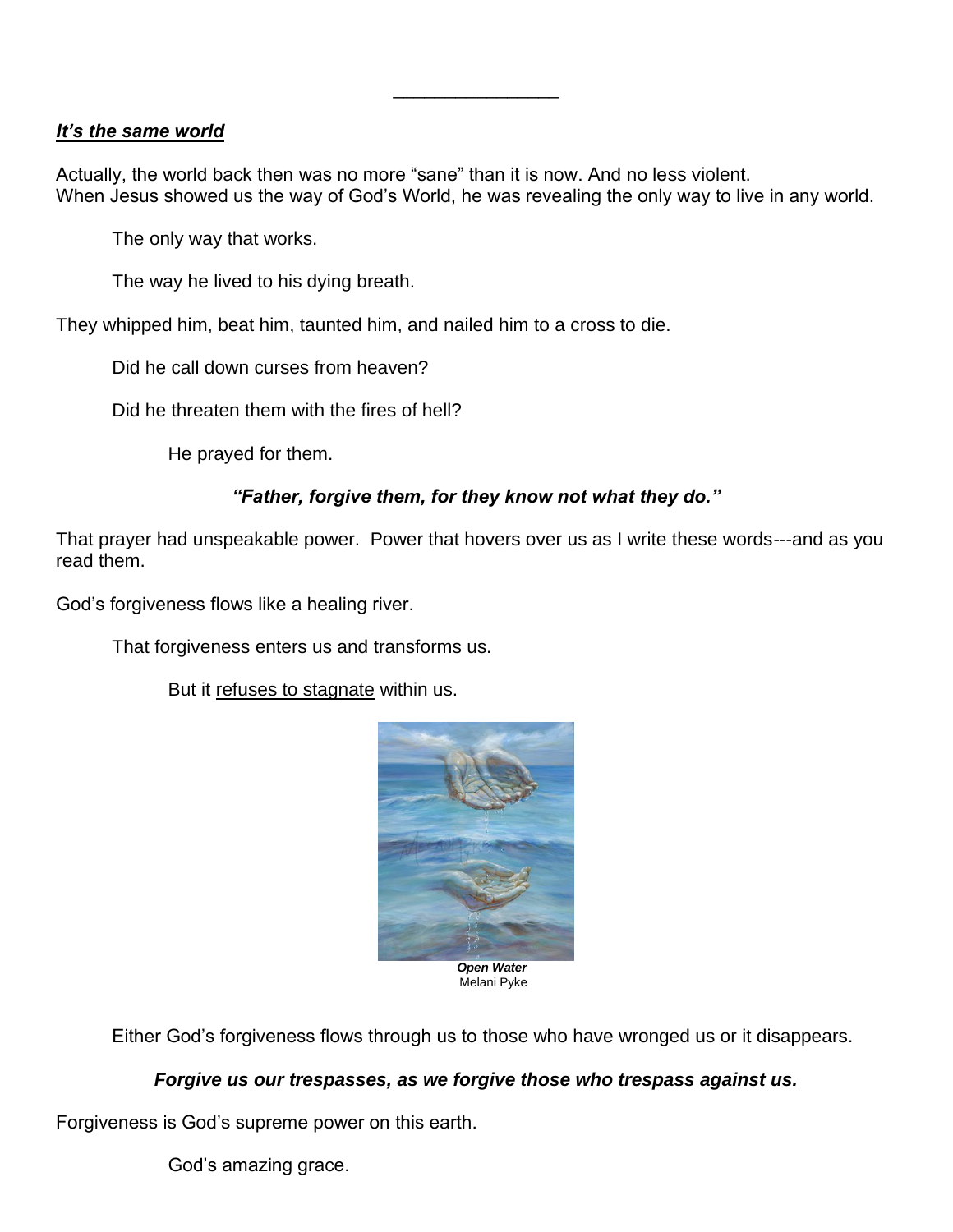## *It's the same world*

Actually, the world back then was no more "sane" than it is now. And no less violent. When Jesus showed us the way of God's World, he was revealing the only way to live in any world.

\_\_\_\_\_\_\_\_\_\_\_\_\_\_\_\_

The only way that works.

The way he lived to his dying breath.

They whipped him, beat him, taunted him, and nailed him to a cross to die.

Did he call down curses from heaven?

Did he threaten them with the fires of hell?

He prayed for them.

## *"Father, forgive them, for they know not what they do."*

That prayer had unspeakable power. Power that hovers over us as I write these words---and as you read them.

God's forgiveness flows like a healing river.

That forgiveness enters us and transforms us.

But it refuses to stagnate within us.



Melani Pyke

Either God's forgiveness flows through us to those who have wronged us or it disappears.

### *Forgive us our trespasses, as we forgive those who trespass against us.*

Forgiveness is God's supreme power on this earth.

God's amazing grace.